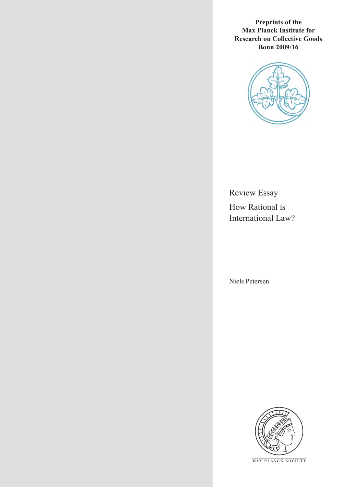**Preprints of the Max Planck Institute for Research on Collective Goods Bonn 2009/16**



Review Essay How Rational is International Law?

Niels Petersen



**M AX P L A N C K S O C I E T Y**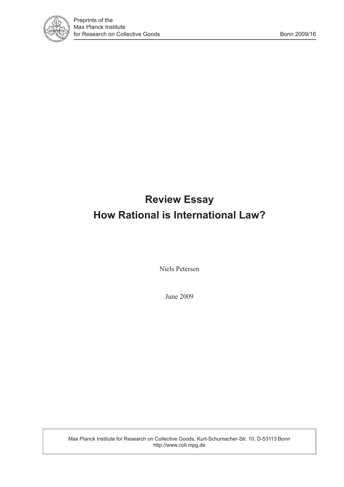

# **Review Essay How Rational is International Law?**

Niels Petersen

June 2009

Max Planck Institute for Research on Collective Goods, Kurt-Schumacher-Str. 10, D-53113 Bonn http://www.coll.mpg.de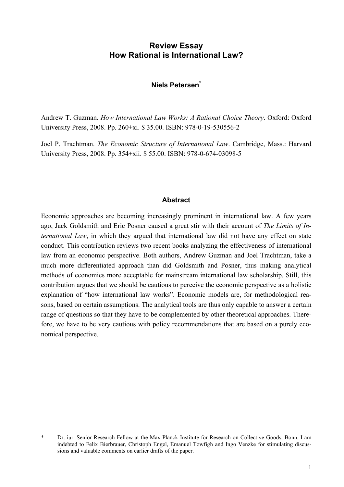## **Review Essay How Rational is International Law?**

#### **Niels Petersen\***

Andrew T. Guzman. *How International Law Works: A Rational Choice Theory*. Oxford: Oxford University Press, 2008. Pp. 260+xi. \$ 35.00. ISBN: 978-0-19-530556-2

Joel P. Trachtman. *The Economic Structure of International Law*. Cambridge, Mass.: Harvard University Press, 2008. Pp. 354+xii. \$ 55.00. ISBN: 978-0-674-03098-5

#### **Abstract**

Economic approaches are becoming increasingly prominent in international law. A few years ago, Jack Goldsmith and Eric Posner caused a great stir with their account of *The Limits of International Law*, in which they argued that international law did not have any effect on state conduct. This contribution reviews two recent books analyzing the effectiveness of international law from an economic perspective. Both authors, Andrew Guzman and Joel Trachtman, take a much more differentiated approach than did Goldsmith and Posner, thus making analytical methods of economics more acceptable for mainstream international law scholarship. Still, this contribution argues that we should be cautious to perceive the economic perspective as a holistic explanation of "how international law works". Economic models are, for methodological reasons, based on certain assumptions. The analytical tools are thus only capable to answer a certain range of questions so that they have to be complemented by other theoretical approaches. Therefore, we have to be very cautious with policy recommendations that are based on a purely economical perspective.

-

Dr. iur. Senior Research Fellow at the Max Planck Institute for Research on Collective Goods, Bonn. I am indebted to Felix Bierbrauer, Christoph Engel, Emanuel Towfigh and Ingo Venzke for stimulating discussions and valuable comments on earlier drafts of the paper.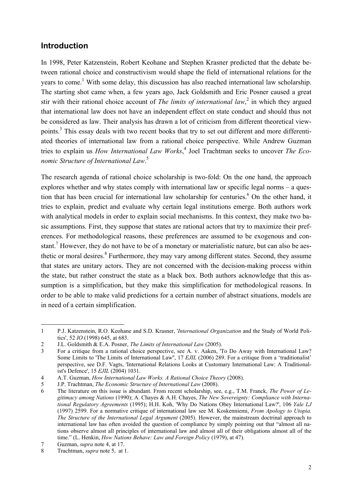## **Introduction**

In 1998, Peter Katzenstein, Robert Keohane and Stephen Krasner predicted that the debate between rational choice and constructivism would shape the field of international relations for the years to come.<sup>1</sup> With some delay, this discussion has also reached international law scholarship. The starting shot came when, a few years ago, Jack Goldsmith and Eric Posner caused a great stir with their rational choice account of *The limits of international law*,<sup>2</sup> in which they argued that international law does not have an independent effect on state conduct and should thus not be considered as law. Their analysis has drawn a lot of criticism from different theoretical viewpoints.<sup>3</sup> This essay deals with two recent books that try to set out different and more differentiated theories of international law from a rational choice perspective. While Andrew Guzman tries to explain us *How International Law Works*, 4 Joel Trachtman seeks to uncover *The Economic Structure of International Law*. 5

The research agenda of rational choice scholarship is two-fold: On the one hand, the approach explores whether and why states comply with international law or specific legal norms – a question that has been crucial for international law scholarship for centuries.<sup>6</sup> On the other hand, it tries to explain, predict and evaluate why certain legal institutions emerge. Both authors work with analytical models in order to explain social mechanisms. In this context, they make two basic assumptions. First, they suppose that states are rational actors that try to maximize their preferences. For methodological reasons, these preferences are assumed to be exogenous and constant.<sup>7</sup> However, they do not have to be of a monetary or materialistic nature, but can also be aesthetic or moral desires.<sup>8</sup> Furthermore, they may vary among different states. Second, they assume that states are unitary actors. They are not concerned with the decision-making process within the state, but rather construct the state as a black box. Both authors acknowledge that this assumption is a simplification, but they make this simplification for methodological reasons. In order to be able to make valid predictions for a certain number of abstract situations, models are in need of a certain simplification.

<sup>1</sup> P.J. Katzenstein, R.O. Keohane and S.D. Krasner, '*International Organization* and the Study of World Politics', 52 *IO* (1998) 645, at 683.

<sup>2</sup> J.L. Goldsmith & E.A. Posner, *The Limits of International Law* (2005).

<sup>3</sup> For a critique from a rational choice perspective, see A. v. Aaken, 'To Do Away with International Law? Some Limits to 'The Limits of International Law'', 17 *EJIL* (2006) 289. For a critique from a 'traditionalist' perspective, see D.F. Vagts, 'International Relations Looks at Customary International Law: A Traditionalist's Defence', 15 *EJIL* (2004) 1031.

<sup>4</sup> A.T. Guzman, *How International Law Works. A Rational Choice Theory* (2008).

<sup>5</sup> J.P. Trachtman, *The Economic Structure of International Law* (2008).

<sup>6</sup> The literature on this issue is abundant. From recent scholarship, see, e.g., T.M. Franck, *The Power of Legitimacy among Nations* (1990); A. Chayes & A.H. Chayes, *The New Sovereignty: Compliance with International Regulatory Agreements* (1995); H.H. Koh, 'Why Do Nations Obey International Law?', 106 *Yale LJ* (1997) 2599. For a normative critique of international law see M. Koskenniemi, *From Apology to Utopia. The Structure of the International Legal Argument* (2005). However, the mainstream doctrinal approach to international law has often avoided the question of compliance by simply pointing out that "almost all nations observe almost all principles of international law and almost all of their obligations almost all of the time." (L. Henkin, *How Nations Behave: Law and Foreign Policy* (1979), at 47).

<sup>7</sup> Guzman, *supra* note 4, at 17.

<sup>8</sup> Trachtman, *supra* note 5, at 1.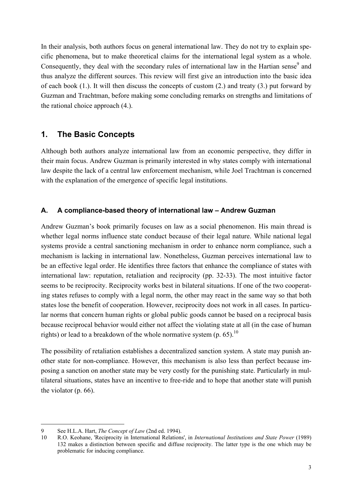In their analysis, both authors focus on general international law. They do not try to explain specific phenomena, but to make theoretical claims for the international legal system as a whole. Consequently, they deal with the secondary rules of international law in the Hartian sense<sup>9</sup> and thus analyze the different sources. This review will first give an introduction into the basic idea of each book (1.). It will then discuss the concepts of custom (2.) and treaty (3.) put forward by Guzman and Trachtman, before making some concluding remarks on strengths and limitations of the rational choice approach (4.).

## **1. The Basic Concepts**

Although both authors analyze international law from an economic perspective, they differ in their main focus. Andrew Guzman is primarily interested in why states comply with international law despite the lack of a central law enforcement mechanism, while Joel Trachtman is concerned with the explanation of the emergence of specific legal institutions.

### **A. A compliance-based theory of international law – Andrew Guzman**

Andrew Guzman's book primarily focuses on law as a social phenomenon. His main thread is whether legal norms influence state conduct because of their legal nature. While national legal systems provide a central sanctioning mechanism in order to enhance norm compliance, such a mechanism is lacking in international law. Nonetheless, Guzman perceives international law to be an effective legal order. He identifies three factors that enhance the compliance of states with international law: reputation, retaliation and reciprocity (pp. 32-33). The most intuitive factor seems to be reciprocity. Reciprocity works best in bilateral situations. If one of the two cooperating states refuses to comply with a legal norm, the other may react in the same way so that both states lose the benefit of cooperation. However, reciprocity does not work in all cases. In particular norms that concern human rights or global public goods cannot be based on a reciprocal basis because reciprocal behavior would either not affect the violating state at all (in the case of human rights) or lead to a breakdown of the whole normative system (p. 65).<sup>10</sup>

The possibility of retaliation establishes a decentralized sanction system. A state may punish another state for non-compliance. However, this mechanism is also less than perfect because imposing a sanction on another state may be very costly for the punishing state. Particularly in multilateral situations, states have an incentive to free-ride and to hope that another state will punish the violator (p. 66).

<sup>9</sup> See H.L.A. Hart, *The Concept of Law* (2nd ed. 1994).

<sup>10</sup> R.O. Keohane, 'Reciprocity in International Relations', in *International Institutions and State Power* (1989) 132 makes a distinction between specific and diffuse reciprocity. The latter type is the one which may be problematic for inducing compliance.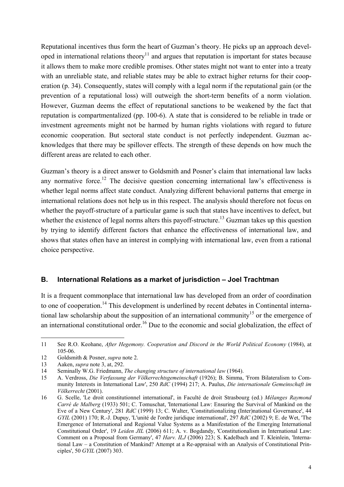Reputational incentives thus form the heart of Guzman's theory. He picks up an approach developed in international relations theory<sup>11</sup> and argues that reputation is important for states because it allows them to make more credible promises. Other states might not want to enter into a treaty with an unreliable state, and reliable states may be able to extract higher returns for their cooperation (p. 34). Consequently, states will comply with a legal norm if the reputational gain (or the prevention of a reputational loss) will outweigh the short-term benefits of a norm violation. However, Guzman deems the effect of reputational sanctions to be weakened by the fact that reputation is compartmentalized (pp. 100-6). A state that is considered to be reliable in trade or investment agreements might not be harmed by human rights violations with regard to future economic cooperation. But sectoral state conduct is not perfectly independent. Guzman acknowledges that there may be spillover effects. The strength of these depends on how much the different areas are related to each other.

Guzman's theory is a direct answer to Goldsmith and Posner's claim that international law lacks any normative force.<sup>12</sup> The decisive question concerning international law's effectiveness is whether legal norms affect state conduct. Analyzing different behavioral patterns that emerge in international relations does not help us in this respect. The analysis should therefore not focus on whether the payoff-structure of a particular game is such that states have incentives to defect, but whether the existence of legal norms alters this payoff-structure.<sup>13</sup> Guzman takes up this question by trying to identify different factors that enhance the effectiveness of international law, and shows that states often have an interest in complying with international law, even from a rational choice perspective.

#### **B. International Relations as a market of jurisdiction – Joel Trachtman**

It is a frequent commonplace that international law has developed from an order of coordination to one of cooperation.<sup>14</sup> This development is underlined by recent debates in Continental international law scholarship about the supposition of an international community<sup>15</sup> or the emergence of an international constitutional order.<sup>16</sup> Due to the economic and social globalization, the effect of

j 11 See R.O. Keohane, *After Hegemony. Cooperation and Discord in the World Political Economy* (1984), at 105-06.

<sup>12</sup> Goldsmith & Posner, *supra* note 2.

<sup>13</sup> Aaken, *supra* note 3, at, 292.

<sup>14</sup> Seminally W.G. Friedmann, *The changing structure of international law* (1964).

<sup>15</sup> A. Verdross, *Die Verfassung der Völkerrechtsgemeinschaft* (1926); B. Simma, 'From Bilateralism to Community Interests in International Law', 250 *RdC* (1994) 217; A. Paulus, *Die internationale Gemeinschaft im Völkerrecht* (2001).

<sup>16</sup> G. Scelle, 'Le droit constitutionnel international', in Faculté de droit Strasbourg (ed.) *Mélanges Raymond Carré de Malberg* (1933) 501; C. Tomuschat, 'International Law: Ensuring the Survival of Mankind on the Eve of a New Century', 281 *RdC* (1999) 13; C. Walter, 'Constitutionalizing (Inter)national Governance', 44 *GYIL* (2001) 170; R.-J. Dupuy, 'L'unité de l'ordre juridique international', 297 *RdC* (2002) 9; E. de Wet, 'The Emergence of International and Regional Value Systems as a Manifestation of the Emerging International Constitutional Order', 19 *Leiden JIL* (2006) 611; A. v. Bogdandy, 'Constitutionalism in International Law: Comment on a Proposal from Germany', 47 *Harv. ILJ* (2006) 223; S. Kadelbach and T. Kleinlein, 'International Law – a Constitution of Mankind? Attempt at a Re-appraisal with an Analysis of Constitutional Principles', 50 *GYIL* (2007) 303.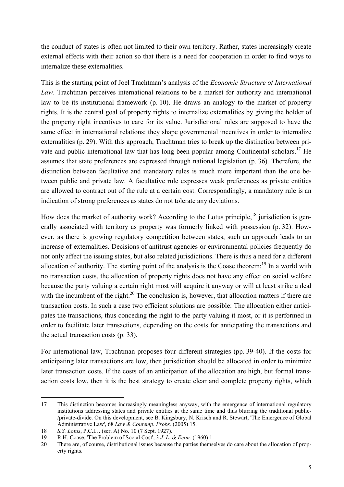the conduct of states is often not limited to their own territory. Rather, states increasingly create external effects with their action so that there is a need for cooperation in order to find ways to internalize these externalities.

This is the starting point of Joel Trachtman's analysis of the *Economic Structure of International Law*. Trachtman perceives international relations to be a market for authority and international law to be its institutional framework (p. 10). He draws an analogy to the market of property rights. It is the central goal of property rights to internalize externalities by giving the holder of the property right incentives to care for its value. Jurisdictional rules are supposed to have the same effect in international relations: they shape governmental incentives in order to internalize externalities (p. 29). With this approach, Trachtman tries to break up the distinction between private and public international law that has long been popular among Continental scholars.<sup>17</sup> He assumes that state preferences are expressed through national legislation (p. 36). Therefore, the distinction between facultative and mandatory rules is much more important than the one between public and private law. A facultative rule expresses weak preferences as private entities are allowed to contract out of the rule at a certain cost. Correspondingly, a mandatory rule is an indication of strong preferences as states do not tolerate any deviations.

How does the market of authority work? According to the Lotus principle,  $^{18}$  jurisdiction is generally associated with territory as property was formerly linked with possession (p. 32). However, as there is growing regulatory competition between states, such an approach leads to an increase of externalities. Decisions of antitrust agencies or environmental policies frequently do not only affect the issuing states, but also related jurisdictions. There is thus a need for a different allocation of authority. The starting point of the analysis is the Coase theorem:<sup>19</sup> In a world with no transaction costs, the allocation of property rights does not have any effect on social welfare because the party valuing a certain right most will acquire it anyway or will at least strike a deal with the incumbent of the right.<sup>20</sup> The conclusion is, however, that allocation matters if there are transaction costs. In such a case two efficient solutions are possible: The allocation either anticipates the transactions, thus conceding the right to the party valuing it most, or it is performed in order to facilitate later transactions, depending on the costs for anticipating the transactions and the actual transaction costs (p. 33).

For international law, Trachtman proposes four different strategies (pp. 39-40). If the costs for anticipating later transactions are low, then jurisdiction should be allocated in order to minimize later transaction costs. If the costs of an anticipation of the allocation are high, but formal transaction costs low, then it is the best strategy to create clear and complete property rights, which

<sup>17</sup> This distinction becomes increasingly meaningless anyway, with the emergence of international regulatory institutions addressing states and private entities at the same time and thus blurring the traditional public- /private-divide. On this development, see B. Kingsbury, N. Krisch and R. Stewart, 'The Emergence of Global Administrative Law', 68 *Law & Contemp. Probs.* (2005) 15.

<sup>18</sup> *S.S. Lotus*, P.C.I.J. (ser. A) No. 10 (7 Sept. 1927).

<sup>19</sup> R.H. Coase, 'The Problem of Social Cost', 3 *J. L. & Econ.* (1960) 1.

<sup>20</sup> There are, of course, distributional issues because the parties themselves do care about the allocation of property rights.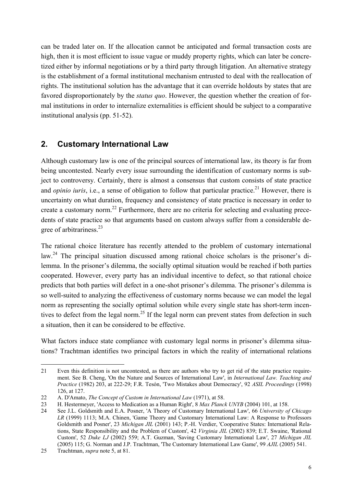can be traded later on. If the allocation cannot be anticipated and formal transaction costs are high, then it is most efficient to issue vague or muddy property rights, which can later be concretized either by informal negotiations or by a third party through litigation. An alternative strategy is the establishment of a formal institutional mechanism entrusted to deal with the reallocation of rights. The institutional solution has the advantage that it can override holdouts by states that are favored disproportionately by the *status quo*. However, the question whether the creation of formal institutions in order to internalize externalities is efficient should be subject to a comparative institutional analysis (pp. 51-52).

# **2. Customary International Law**

Although customary law is one of the principal sources of international law, its theory is far from being uncontested. Nearly every issue surrounding the identification of customary norms is subject to controversy. Certainly, there is almost a consensus that custom consists of state practice and *opinio iuris*, i.e., a sense of obligation to follow that particular practice.<sup>21</sup> However, there is uncertainty on what duration, frequency and consistency of state practice is necessary in order to create a customary norm.<sup>22</sup> Furthermore, there are no criteria for selecting and evaluating precedents of state practice so that arguments based on custom always suffer from a considerable degree of arbitrariness.<sup>23</sup>

The rational choice literature has recently attended to the problem of customary international law.<sup>24</sup> The principal situation discussed among rational choice scholars is the prisoner's dilemma. In the prisoner's dilemma, the socially optimal situation would be reached if both parties cooperated. However, every party has an individual incentive to defect, so that rational choice predicts that both parties will defect in a one-shot prisoner's dilemma. The prisoner's dilemma is so well-suited to analyzing the effectiveness of customary norms because we can model the legal norm as representing the socially optimal solution while every single state has short-term incentives to defect from the legal norm.<sup>25</sup> If the legal norm can prevent states from defection in such a situation, then it can be considered to be effective.

What factors induce state compliance with customary legal norms in prisoner's dilemma situations? Trachtman identifies two principal factors in which the reality of international relations

j 21 Even this definition is not uncontested, as there are authors who try to get rid of the state practice requirement. See B. Cheng, 'On the Nature and Sources of International Law', in *International Law. Teaching and Practice* (1982) 203, at 222-29; F.R. Tesón, 'Two Mistakes about Democracy', 92 *ASIL Proceedings* (1998) 126, at 127.

<sup>22</sup> A. D'Amato, *The Concept of Custom in International Law* (1971), at 58.

<sup>23</sup> H. Hestermeyer, 'Access to Medication as a Human Right', 8 *Max Planck UNYB* (2004) 101, at 158.

<sup>24</sup> See J.L. Goldsmith and E.A. Posner, 'A Theory of Customary International Law', 66 *University of Chicago LR* (1999) 1113; M.A. Chinen, 'Game Theory and Customary International Law: A Response to Professors Goldsmith and Posner', 23 *Michigan JIL* (2001) 143; P.-H. Verdier, 'Cooperative States: International Relations, State Responsibility and the Problem of Custom', 42 *Virginia JIL* (2002) 839; E.T. Swaine, 'Rational Custom', 52 *Duke LJ* (2002) 559; A.T. Guzman, 'Saving Customary International Law', 27 *Michigan JIL* (2005) 115; G. Norman and J.P. Trachtman, 'The Customary International Law Game', 99 *AJIL* (2005) 541.

<sup>25</sup> Trachtman, *supra* note 5, at 81.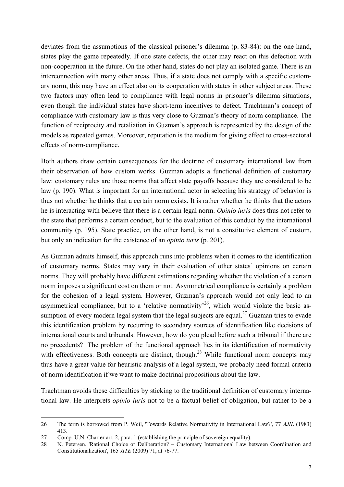deviates from the assumptions of the classical prisoner's dilemma (p. 83-84): on the one hand, states play the game repeatedly. If one state defects, the other may react on this defection with non-cooperation in the future. On the other hand, states do not play an isolated game. There is an interconnection with many other areas. Thus, if a state does not comply with a specific customary norm, this may have an effect also on its cooperation with states in other subject areas. These two factors may often lead to compliance with legal norms in prisoner's dilemma situations, even though the individual states have short-term incentives to defect. Trachtman's concept of compliance with customary law is thus very close to Guzman's theory of norm compliance. The function of reciprocity and retaliation in Guzman's approach is represented by the design of the models as repeated games. Moreover, reputation is the medium for giving effect to cross-sectoral effects of norm-compliance.

Both authors draw certain consequences for the doctrine of customary international law from their observation of how custom works. Guzman adopts a functional definition of customary law: customary rules are those norms that affect state payoffs because they are considered to be law (p. 190). What is important for an international actor in selecting his strategy of behavior is thus not whether he thinks that a certain norm exists. It is rather whether he thinks that the actors he is interacting with believe that there is a certain legal norm. *Opinio iuris* does thus not refer to the state that performs a certain conduct, but to the evaluation of this conduct by the international community (p. 195). State practice, on the other hand, is not a constitutive element of custom, but only an indication for the existence of an *opinio iuris* (p. 201).

As Guzman admits himself, this approach runs into problems when it comes to the identification of customary norms. States may vary in their evaluation of other states' opinions on certain norms. They will probably have different estimations regarding whether the violation of a certain norm imposes a significant cost on them or not. Asymmetrical compliance is certainly a problem for the cohesion of a legal system. However, Guzman's approach would not only lead to an asymmetrical compliance, but to a 'relative normativity'<sup>26</sup>, which would violate the basic assumption of every modern legal system that the legal subjects are equal.<sup>27</sup> Guzman tries to evade this identification problem by recurring to secondary sources of identification like decisions of international courts and tribunals. However, how do you plead before such a tribunal if there are no precedents? The problem of the functional approach lies in its identification of normativity with effectiveness. Both concepts are distinct, though.<sup>28</sup> While functional norm concepts may thus have a great value for heuristic analysis of a legal system, we probably need formal criteria of norm identification if we want to make doctrinal propositions about the law.

Trachtman avoids these difficulties by sticking to the traditional definition of customary international law. He interprets *opinio iuris* not to be a factual belief of obligation, but rather to be a

 $\overline{a}$ 

<sup>26</sup> The term is borrowed from P. Weil, 'Towards Relative Normativity in International Law?', 77 *AJIL* (1983) 413.

<sup>27</sup> Comp. U.N. Charter art. 2, para. 1 (establishing the principle of sovereign equality).

<sup>28</sup> N. Petersen, 'Rational Choice or Deliberation? – Customary International Law between Coordination and Constitutionalization', 165 *JITE* (2009) 71, at 76-77.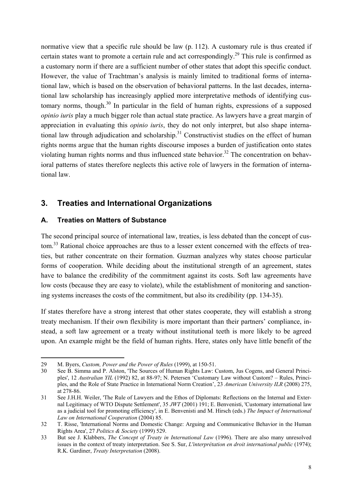normative view that a specific rule should be law (p. 112). A customary rule is thus created if certain states want to promote a certain rule and act correspondingly.<sup>29</sup> This rule is confirmed as a customary norm if there are a sufficient number of other states that adopt this specific conduct. However, the value of Trachtman's analysis is mainly limited to traditional forms of international law, which is based on the observation of behavioral patterns. In the last decades, international law scholarship has increasingly applied more interpretative methods of identifying customary norms, though.<sup>30</sup> In particular in the field of human rights, expressions of a supposed *opinio iuris* play a much bigger role than actual state practice. As lawyers have a great margin of appreciation in evaluating this *opinio iuris*, they do not only interpret, but also shape international law through adjudication and scholarship.<sup>31</sup> Constructivist studies on the effect of human rights norms argue that the human rights discourse imposes a burden of justification onto states violating human rights norms and thus influenced state behavior.<sup>32</sup> The concentration on behavioral patterns of states therefore neglects this active role of lawyers in the formation of international law.

# **3. Treaties and International Organizations**

### **A. Treaties on Matters of Substance**

The second principal source of international law, treaties, is less debated than the concept of custom.<sup>33</sup> Rational choice approaches are thus to a lesser extent concerned with the effects of treaties, but rather concentrate on their formation. Guzman analyzes why states choose particular forms of cooperation. While deciding about the institutional strength of an agreement, states have to balance the credibility of the commitment against its costs. Soft law agreements have low costs (because they are easy to violate), while the establishment of monitoring and sanctioning systems increases the costs of the commitment, but also its credibility (pp. 134-35).

If states therefore have a strong interest that other states cooperate, they will establish a strong treaty mechanism. If their own flexibility is more important than their partners' compliance, instead, a soft law agreement or a treaty without institutional teeth is more likely to be agreed upon. An example might be the field of human rights. Here, states only have little benefit of the

<sup>29</sup> M. Byers, *Custom, Power and the Power of Rules* (1999), at 150-51.

<sup>30</sup> See B. Simma and P. Alston, 'The Sources of Human Rights Law: Custom, Jus Cogens, and General Principles', 12 *Australian YIL* (1992) 82, at 88-97; N. Petersen 'Customary Law without Custom? – Rules, Principles, and the Role of State Practice in International Norm Creation', 23 *American University ILR* (2008) 275, at 278-86.

<sup>31</sup> See J.H.H. Weiler, 'The Rule of Lawyers and the Ethos of Diplomats: Reflections on the Internal and External Legitimacy of WTO Dispute Settlement', 35 *JWT* (2001) 191; E. Benvenisti, 'Customary international law as a judicial tool for promoting efficiency', in E. Benvenisti and M. Hirsch (eds.) *The Impact of International Law on International Cooperation* (2004) 85.

<sup>32</sup> T. Risse, 'International Norms and Domestic Change: Arguing and Communicative Behavior in the Human Rights Area', 27 *Politics & Society* (1999) 529.

<sup>33</sup> But see J. Klabbers, *The Concept of Treaty in International Law* (1996). There are also many unresolved issues in the context of treaty interpretation. See S. Sur, *L'interprétation en droit international public* (1974); R.K. Gardiner, *Treaty Interpretation* (2008).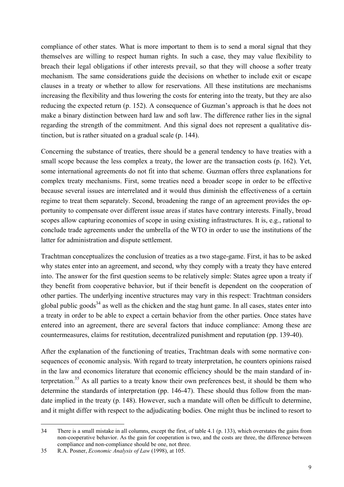compliance of other states. What is more important to them is to send a moral signal that they themselves are willing to respect human rights. In such a case, they may value flexibility to breach their legal obligations if other interests prevail, so that they will choose a softer treaty mechanism. The same considerations guide the decisions on whether to include exit or escape clauses in a treaty or whether to allow for reservations. All these institutions are mechanisms increasing the flexibility and thus lowering the costs for entering into the treaty, but they are also reducing the expected return (p. 152). A consequence of Guzman's approach is that he does not make a binary distinction between hard law and soft law. The difference rather lies in the signal regarding the strength of the commitment. And this signal does not represent a qualitative distinction, but is rather situated on a gradual scale (p. 144).

Concerning the substance of treaties, there should be a general tendency to have treaties with a small scope because the less complex a treaty, the lower are the transaction costs (p. 162). Yet, some international agreements do not fit into that scheme. Guzman offers three explanations for complex treaty mechanisms. First, some treaties need a broader scope in order to be effective because several issues are interrelated and it would thus diminish the effectiveness of a certain regime to treat them separately. Second, broadening the range of an agreement provides the opportunity to compensate over different issue areas if states have contrary interests. Finally, broad scopes allow capturing economies of scope in using existing infrastructures. It is, e.g., rational to conclude trade agreements under the umbrella of the WTO in order to use the institutions of the latter for administration and dispute settlement.

Trachtman conceptualizes the conclusion of treaties as a two stage-game. First, it has to be asked why states enter into an agreement, and second, why they comply with a treaty they have entered into. The answer for the first question seems to be relatively simple: States agree upon a treaty if they benefit from cooperative behavior, but if their benefit is dependent on the cooperation of other parties. The underlying incentive structures may vary in this respect: Trachtman considers global public goods<sup>34</sup> as well as the chicken and the stag hunt game. In all cases, states enter into a treaty in order to be able to expect a certain behavior from the other parties. Once states have entered into an agreement, there are several factors that induce compliance: Among these are countermeasures, claims for restitution, decentralized punishment and reputation (pp. 139-40).

After the explanation of the functioning of treaties, Trachtman deals with some normative consequences of economic analysis. With regard to treaty interpretation, he counters opinions raised in the law and economics literature that economic efficiency should be the main standard of interpretation.35 As all parties to a treaty know their own preferences best, it should be them who determine the standards of interpretation (pp. 146-47). These should thus follow from the mandate implied in the treaty (p. 148). However, such a mandate will often be difficult to determine, and it might differ with respect to the adjudicating bodies. One might thus be inclined to resort to

<sup>34</sup> There is a small mistake in all columns, except the first, of table 4.1 (p. 133), which overstates the gains from non-cooperative behavior. As the gain for cooperation is two, and the costs are three, the difference between compliance and non-compliance should be one, not three.

<sup>35</sup> R.A. Posner, *Economic Analysis of Law* (1998), at 105.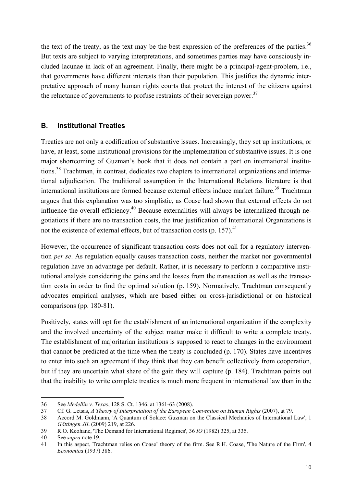the text of the treaty, as the text may be the best expression of the preferences of the parties.<sup>36</sup> But texts are subject to varying interpretations, and sometimes parties may have consciously included lacunae in lack of an agreement. Finally, there might be a principal-agent-problem, i.e., that governments have different interests than their population. This justifies the dynamic interpretative approach of many human rights courts that protect the interest of the citizens against the reluctance of governments to profuse restraints of their sovereign power.<sup>37</sup>

### **B. Institutional Treaties**

Treaties are not only a codification of substantive issues. Increasingly, they set up institutions, or have, at least, some institutional provisions for the implementation of substantive issues. It is one major shortcoming of Guzman's book that it does not contain a part on international institutions.38 Trachtman, in contrast, dedicates two chapters to international organizations and international adjudication. The traditional assumption in the International Relations literature is that international institutions are formed because external effects induce market failure.<sup>39</sup> Trachtman argues that this explanation was too simplistic, as Coase had shown that external effects do not influence the overall efficiency.40 Because externalities will always be internalized through negotiations if there are no transaction costs, the true justification of International Organizations is not the existence of external effects, but of transaction costs  $(p. 157)$ .<sup>41</sup>

However, the occurrence of significant transaction costs does not call for a regulatory intervention *per se*. As regulation equally causes transaction costs, neither the market nor governmental regulation have an advantage per default. Rather, it is necessary to perform a comparative institutional analysis considering the gains and the losses from the transaction as well as the transaction costs in order to find the optimal solution (p. 159). Normatively, Trachtman consequently advocates empirical analyses, which are based either on cross-jurisdictional or on historical comparisons (pp. 180-81).

Positively, states will opt for the establishment of an international organization if the complexity and the involved uncertainty of the subject matter make it difficult to write a complete treaty. The establishment of majoritarian institutions is supposed to react to changes in the environment that cannot be predicted at the time when the treaty is concluded (p. 170). States have incentives to enter into such an agreement if they think that they can benefit collectively from cooperation, but if they are uncertain what share of the gain they will capture (p. 184). Trachtman points out that the inability to write complete treaties is much more frequent in international law than in the

<sup>36</sup> See *Medellín v. Texas*, 128 S. Ct. 1346, at 1361-63 (2008).

<sup>37</sup> Cf. G. Letsas, *A Theory of Interpretation of the European Convention on Human Rights* (2007), at 79.

<sup>38</sup> Accord M. Goldmann, 'A Quantum of Solace: Guzman on the Classical Mechanics of International Law', 1 *Göttingen JIL* (2009) 219, at 226.

<sup>39</sup> R.O. Keohane, 'The Demand for International Regimes', 36 *IO* (1982) 325, at 335.

<sup>40</sup> See *supra* note 19.

<sup>41</sup> In this aspect, Trachtman relies on Coase' theory of the firm. See R.H. Coase, 'The Nature of the Firm', 4 *Economica* (1937) 386.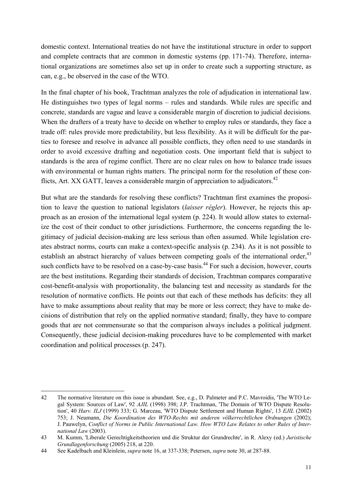domestic context. International treaties do not have the institutional structure in order to support and complete contracts that are common in domestic systems (pp. 171-74). Therefore, international organizations are sometimes also set up in order to create such a supporting structure, as can, e.g., be observed in the case of the WTO.

In the final chapter of his book, Trachtman analyzes the role of adjudication in international law. He distinguishes two types of legal norms – rules and standards. While rules are specific and concrete, standards are vague and leave a considerable margin of discretion to judicial decisions. When the drafters of a treaty have to decide on whether to employ rules or standards, they face a trade off: rules provide more predictability, but less flexibility. As it will be difficult for the parties to foresee and resolve in advance all possible conflicts, they often need to use standards in order to avoid excessive drafting and negotiation costs. One important field that is subject to standards is the area of regime conflict. There are no clear rules on how to balance trade issues with environmental or human rights matters. The principal norm for the resolution of these conflicts, Art. XX GATT, leaves a considerable margin of appreciation to adjudicators.<sup>42</sup>

But what are the standards for resolving these conflicts? Trachtman first examines the proposition to leave the question to national legislators (*laisser régler*). However, he rejects this approach as an erosion of the international legal system (p. 224). It would allow states to externalize the cost of their conduct to other jurisdictions. Furthermore, the concerns regarding the legitimacy of judicial decision-making are less serious than often assumed. While legislation creates abstract norms, courts can make a context-specific analysis (p. 234). As it is not possible to establish an abstract hierarchy of values between competing goals of the international order,  $43$ such conflicts have to be resolved on a case-by-case basis.<sup>44</sup> For such a decision, however, courts are the best institutions. Regarding their standards of decision, Trachtman compares comparative cost-benefit-analysis with proportionality, the balancing test and necessity as standards for the resolution of normative conflicts. He points out that each of these methods has deficits: they all have to make assumptions about reality that may be more or less correct; they have to make decisions of distribution that rely on the applied normative standard; finally, they have to compare goods that are not commensurate so that the comparison always includes a political judgment. Consequently, these judicial decision-making procedures have to be complemented with market coordination and political processes (p. 247).

 $\overline{a}$ 42 The normative literature on this issue is abundant. See, e.g., D. Palmeter and P.C. Mavroidis, 'The WTO Legal System: Sources of Law', 92 *AJIL* (1998) 398; J.P. Trachtman, 'The Domain of WTO Dispute Resolution', 40 *Harv. ILJ* (1999) 333; G. Marceau, 'WTO Dispute Settlement and Human Rights', 13 *EJIL* (2002) 753; J. Neumann, *Die Koordination des WTO-Rechts mit anderen völkerrechtlichen Ordnungen* (2002); J. Pauwelyn, *Conflict of Norms in Public International Law. How WTO Law Relates to other Rules of International Law* (2003).

<sup>43</sup> M. Kumm, 'Liberale Gerechtigkeitstheorien und die Struktur der Grundrechte', in R. Alexy (ed.) *Juristische Grundlagenforschung* (2005) 218, at 220.

<sup>44</sup> See Kadelbach and Kleinlein, *supra* note 16, at 337-338; Petersen, *supra* note 30, at 287-88.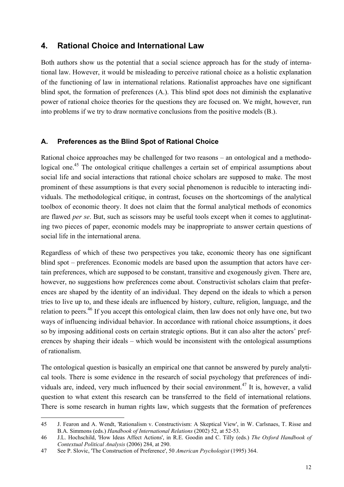# **4. Rational Choice and International Law**

Both authors show us the potential that a social science approach has for the study of international law. However, it would be misleading to perceive rational choice as a holistic explanation of the functioning of law in international relations. Rationalist approaches have one significant blind spot, the formation of preferences (A.). This blind spot does not diminish the explanative power of rational choice theories for the questions they are focused on. We might, however, run into problems if we try to draw normative conclusions from the positive models (B.).

## **A. Preferences as the Blind Spot of Rational Choice**

Rational choice approaches may be challenged for two reasons – an ontological and a methodological one.<sup>45</sup> The ontological critique challenges a certain set of empirical assumptions about social life and social interactions that rational choice scholars are supposed to make. The most prominent of these assumptions is that every social phenomenon is reducible to interacting individuals. The methodological critique, in contrast, focuses on the shortcomings of the analytical toolbox of economic theory. It does not claim that the formal analytical methods of economics are flawed *per se*. But, such as scissors may be useful tools except when it comes to agglutinating two pieces of paper, economic models may be inappropriate to answer certain questions of social life in the international arena.

Regardless of which of these two perspectives you take, economic theory has one significant blind spot – preferences. Economic models are based upon the assumption that actors have certain preferences, which are supposed to be constant, transitive and exogenously given. There are, however, no suggestions how preferences come about. Constructivist scholars claim that preferences are shaped by the identity of an individual. They depend on the ideals to which a person tries to live up to, and these ideals are influenced by history, culture, religion, language, and the relation to peers.<sup>46</sup> If you accept this ontological claim, then law does not only have one, but two ways of influencing individual behavior. In accordance with rational choice assumptions, it does so by imposing additional costs on certain strategic options. But it can also alter the actors' preferences by shaping their ideals – which would be inconsistent with the ontological assumptions of rationalism.

The ontological question is basically an empirical one that cannot be answered by purely analytical tools. There is some evidence in the research of social psychology that preferences of individuals are, indeed, very much influenced by their social environment.<sup>47</sup> It is, however, a valid question to what extent this research can be transferred to the field of international relations. There is some research in human rights law, which suggests that the formation of preferences

 $\overline{a}$ 

<sup>45</sup> J. Fearon and A. Wendt, 'Rationalism v. Constructivism: A Skeptical View', in W. Carlsnaes, T. Risse and B.A. Simmons (eds.) *Handbook of International Relations* (2002) 52, at 52-53.

<sup>46</sup> J.L. Hochschild, 'How Ideas Affect Actions', in R.E. Goodin and C. Tilly (eds.) *The Oxford Handbook of Contextual Political Analysis* (2006) 284, at 290.

<sup>47</sup> See P. Slovic, 'The Construction of Preference', 50 *American Psychologist* (1995) 364.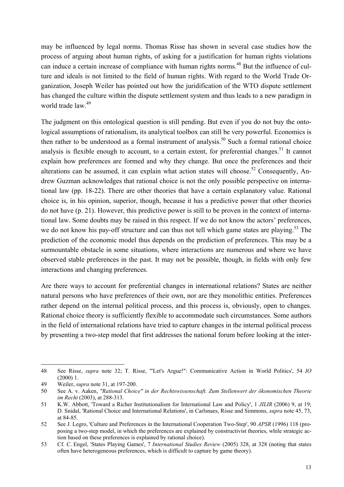may be influenced by legal norms. Thomas Risse has shown in several case studies how the process of arguing about human rights, of asking for a justification for human rights violations can induce a certain increase of compliance with human rights norms.<sup>48</sup> But the influence of culture and ideals is not limited to the field of human rights. With regard to the World Trade Organization, Joseph Weiler has pointed out how the juridification of the WTO dispute settlement has changed the culture within the dispute settlement system and thus leads to a new paradigm in world trade law <sup>49</sup>

The judgment on this ontological question is still pending. But even if you do not buy the ontological assumptions of rationalism, its analytical toolbox can still be very powerful. Economics is then rather to be understood as a formal instrument of analysis.<sup>50</sup> Such a formal rational choice analysis is flexible enough to account, to a certain extent, for preferential changes.<sup>51</sup> It cannot explain how preferences are formed and why they change. But once the preferences and their alterations can be assumed, it can explain what action states will choose.<sup>52</sup> Consequently, Andrew Guzman acknowledges that rational choice is not the only possible perspective on international law (pp. 18-22). There are other theories that have a certain explanatory value. Rational choice is, in his opinion, superior, though, because it has a predictive power that other theories do not have (p. 21). However, this predictive power is still to be proven in the context of international law. Some doubts may be raised in this respect. If we do not know the actors' preferences, we do not know his pay-off structure and can thus not tell which game states are playing.<sup>53</sup> The prediction of the economic model thus depends on the prediction of preferences. This may be a surmountable obstacle in some situations, where interactions are numerous and where we have observed stable preferences in the past. It may not be possible, though, in fields with only few interactions and changing preferences.

Are there ways to account for preferential changes in international relations? States are neither natural persons who have preferences of their own, nor are they monolithic entities. Preferences rather depend on the internal political process, and this process is, obviously, open to changes. Rational choice theory is sufficiently flexible to accommodate such circumstances. Some authors in the field of international relations have tried to capture changes in the internal political process by presenting a two-step model that first addresses the national forum before looking at the inter-

<sup>48</sup> See Risse, *supra* note 32; T. Risse, '"Let's Argue!": Communicative Action in World Politics', 54 *IO* (2000) 1.

<sup>49</sup> Weiler, *supra* note 31, at 197-200.

<sup>50</sup> See A. v. Aaken, *"Rational Choice" in der Rechtswissenschaft. Zum Stellenwert der ökonomischen Theorie im Recht* (2003), at 288-313.

<sup>51</sup> K.W. Abbott, 'Toward a Richer Institutionalism for International Law and Policy', 1 *JILIR* (2006) 9, at 19; D. Snidal, 'Rational Choice and International Relations', in Carlsnaes, Risse and Simmons, *supra* note 45, 73, at 84-85.

<sup>52</sup> See J. Legro, 'Culture and Preferences in the International Cooperation Two-Step', 90 *APSR* (1996) 118 (proposing a two-step model, in which the preferences are explained by constructivist theories, while strategic action based on these preferences is explained by rational choice).

<sup>53</sup> Cf. C. Engel, 'States Playing Games', 7 *International Studies Review* (2005) 328, at 328 (noting that states often have heterogeneous preferences, which is difficult to capture by game theory).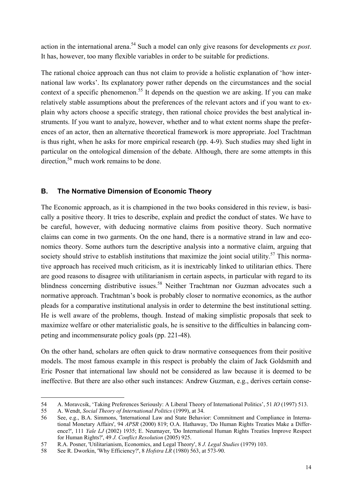action in the international arena.54 Such a model can only give reasons for developments *ex post*. It has, however, too many flexible variables in order to be suitable for predictions.

The rational choice approach can thus not claim to provide a holistic explanation of 'how international law works'. Its explanatory power rather depends on the circumstances and the social context of a specific phenomenon.<sup>55</sup> It depends on the question we are asking. If you can make relatively stable assumptions about the preferences of the relevant actors and if you want to explain why actors choose a specific strategy, then rational choice provides the best analytical instruments. If you want to analyze, however, whether and to what extent norms shape the preferences of an actor, then an alternative theoretical framework is more appropriate. Joel Trachtman is thus right, when he asks for more empirical research (pp. 4-9). Such studies may shed light in particular on the ontological dimension of the debate. Although, there are some attempts in this direction.<sup>56</sup> much work remains to be done.

## **B. The Normative Dimension of Economic Theory**

The Economic approach, as it is championed in the two books considered in this review, is basically a positive theory. It tries to describe, explain and predict the conduct of states. We have to be careful, however, with deducing normative claims from positive theory. Such normative claims can come in two garments. On the one hand, there is a normative strand in law and economics theory. Some authors turn the descriptive analysis into a normative claim, arguing that society should strive to establish institutions that maximize the joint social utility.<sup>57</sup> This normative approach has received much criticism, as it is inextricably linked to utilitarian ethics. There are good reasons to disagree with utilitarianism in certain aspects, in particular with regard to its blindness concerning distributive issues.<sup>58</sup> Neither Trachtman nor Guzman advocates such a normative approach. Trachtman's book is probably closer to normative economics, as the author pleads for a comparative institutional analysis in order to determine the best institutional setting. He is well aware of the problems, though. Instead of making simplistic proposals that seek to maximize welfare or other materialistic goals, he is sensitive to the difficulties in balancing competing and incommensurate policy goals (pp. 221-48).

On the other hand, scholars are often quick to draw normative consequences from their positive models. The most famous example in this respect is probably the claim of Jack Goldsmith and Eric Posner that international law should not be considered as law because it is deemed to be ineffective. But there are also other such instances: Andrew Guzman, e.g., derives certain conse-

<sup>54</sup> A. Moravcsik, 'Taking Preferences Seriously: A Liberal Theory of International Politics', 51 *IO* (1997) 513.

<sup>55</sup> A. Wendt, *Social Theory of International Politics* (1999), at 34.

<sup>56</sup> See, e.g., B.A. Simmons, 'International Law and State Behavior: Commitment and Compliance in International Monetary Affairs', 94 *APSR* (2000) 819; O.A. Hathaway, 'Do Human Rights Treaties Make a Difference?', 111 *Yale LJ* (2002) 1935; E. Neumayer, 'Do International Human Rights Treaties Improve Respect for Human Rights?', 49 *J. Conflict Resolution* (2005) 925.

<sup>57</sup> R.A. Posner, 'Utilitarianism, Economics, and Legal Theory', 8 *J. Legal Studies* (1979) 103.

<sup>58</sup> See R. Dworkin, 'Why Efficiency?', 8 *Hofstra LR* (1980) 563, at 573-90.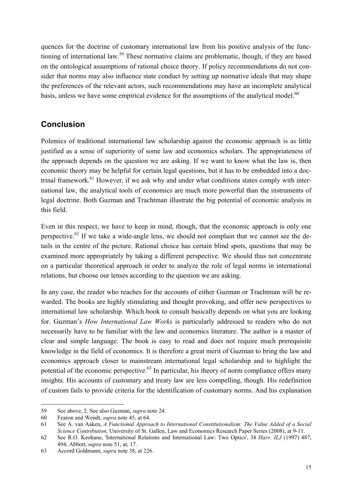quences for the doctrine of customary international law from his positive analysis of the functioning of international law.<sup>59</sup> These normative claims are problematic, though, if they are based on the ontological assumptions of rational choice theory. If policy recommendations do not consider that norms may also influence state conduct by setting up normative ideals that may shape the preferences of the relevant actors, such recommendations may have an incomplete analytical basis, unless we have some empirical evidence for the assumptions of the analytical model.<sup>60</sup>

# **Conclusion**

Polemics of traditional international law scholarship against the economic approach is as little justified as a sense of superiority of some law and economics scholars. The appropriateness of the approach depends on the question we are asking. If we want to know what the law is, then economic theory may be helpful for certain legal questions, but it has to be embedded into a doctrinal framework.<sup>61</sup> However, if we ask why and under what conditions states comply with international law, the analytical tools of economics are much more powerful than the instruments of legal doctrine. Both Guzman and Trachtman illustrate the big potential of economic analysis in this field.

Even in this respect, we have to keep in mind, though, that the economic approach is only one perspective.<sup>62</sup> If we take a wide-angle lens, we should not complain that we cannot see the details in the centre of the picture. Rational choice has certain blind spots, questions that may be examined more appropriately by taking a different perspective. We should thus not concentrate on a particular theoretical approach in order to analyze the role of legal norms in international relations, but choose our lenses according to the question we are asking.

In any case, the reader who reaches for the accounts of either Guzman or Trachtman will be rewarded. The books are highly stimulating and thought provoking, and offer new perspectives to international law scholarship. Which book to consult basically depends on what you are looking for. Guzman's *How International Law Works* is particularly addressed to readers who do not necessarily have to be familiar with the law and economics literature. The author is a master of clear and simple language. The book is easy to read and does not require much prerequisite knowledge in the field of economics. It is therefore a great merit of Guzman to bring the law and economics approach closer to mainstream international legal scholarship and to highlight the potential of the economic perspective.<sup>63</sup> In particular, his theory of norm compliance offers many insights. His accounts of customary and treaty law are less compelling, though. His redefinition of custom fails to provide criteria for the identification of customary norms. And his explanation

<sup>59</sup> See above, 2. See also Guzman, *supra* note 24.

<sup>60</sup> Fearon and Wendt, *supra* note 45, at 64.

<sup>61</sup> See A. van Aaken, *A Functional Approach to International Constitutionalism: The Value Added of a Social Science Contribution*, University of St. Gallen, Law and Economics Research Paper Series (2008), at 9-11.

<sup>62</sup> See R.O. Keohane, 'International Relations and International Law: Two Optics', 38 *Harv. ILJ* (1997) 487, 494; Abbott, *supra* note 51, at, 17.

<sup>63</sup> Accord Goldmann, *supra* note 38, at 226.